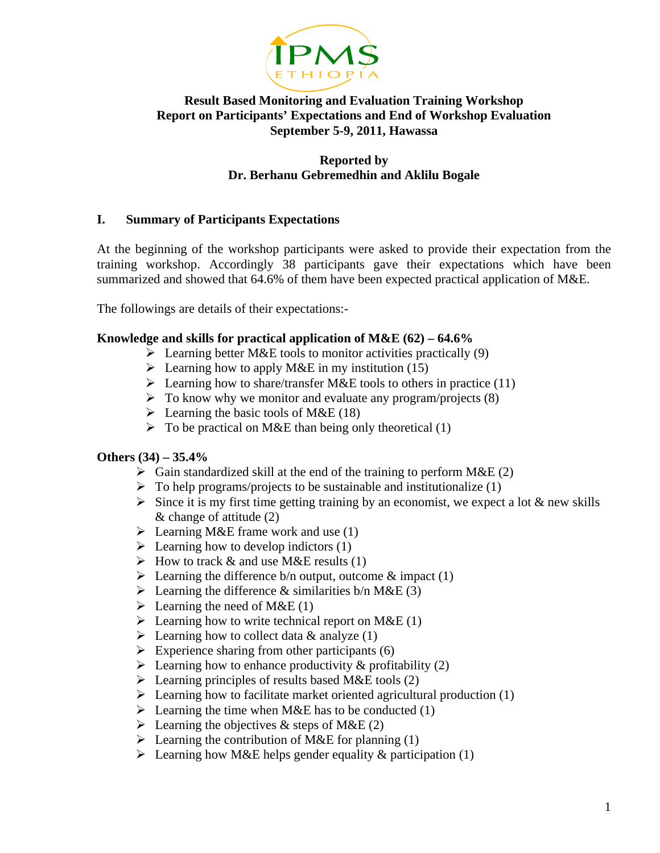

# **Result Based Monitoring and Evaluation Training Workshop Report on Participants' Expectations and End of Workshop Evaluation September 5-9, 2011, Hawassa**

## **Reported by Dr. Berhanu Gebremedhin and Aklilu Bogale**

# **I. Summary of Participants Expectations**

At the beginning of the workshop participants were asked to provide their expectation from the training workshop. Accordingly 38 participants gave their expectations which have been summarized and showed that 64.6% of them have been expected practical application of M&E.

The followings are details of their expectations:-

## **Knowledge and skills for practical application of M&E (62) – 64.6%**

- $\triangleright$  Learning better M&E tools to monitor activities practically (9)
- $\triangleright$  Learning how to apply M&E in my institution (15)
- $\triangleright$  Learning how to share/transfer M&E tools to others in practice (11)
- $\triangleright$  To know why we monitor and evaluate any program/projects (8)
- $\triangleright$  Learning the basic tools of M&E (18)
- $\triangleright$  To be practical on M&E than being only theoretical (1)

# **Others (34) – 35.4%**

- $\triangleright$  Gain standardized skill at the end of the training to perform M&E (2)
- $\triangleright$  To help programs/projects to be sustainable and institutionalize (1)
- $\triangleright$  Since it is my first time getting training by an economist, we expect a lot & new skills & change of attitude (2)
- $\triangleright$  Learning M&E frame work and use (1)
- $\triangleright$  Learning how to develop indictors (1)
- $\triangleright$  How to track & and use M&E results (1)
- Examing the difference b/n output, outcome  $\&$  impact (1)
- Examing the difference & similarities b/n M&E (3)
- $\triangleright$  Learning the need of M&E (1)
- Examing how to write technical report on M&E (1)
- $\triangleright$  Learning how to collect data & analyze (1)
- $\triangleright$  Experience sharing from other participants (6)
- Examing how to enhance productivity  $\&$  profitability (2)
- $\triangleright$  Learning principles of results based M&E tools (2)
- $\triangleright$  Learning how to facilitate market oriented agricultural production (1)
- $\triangleright$  Learning the time when M&E has to be conducted (1)
- $\triangleright$  Learning the objectives & steps of M&E (2)
- $\triangleright$  Learning the contribution of M&E for planning (1)
- Examing how M&E helps gender equality & participation (1)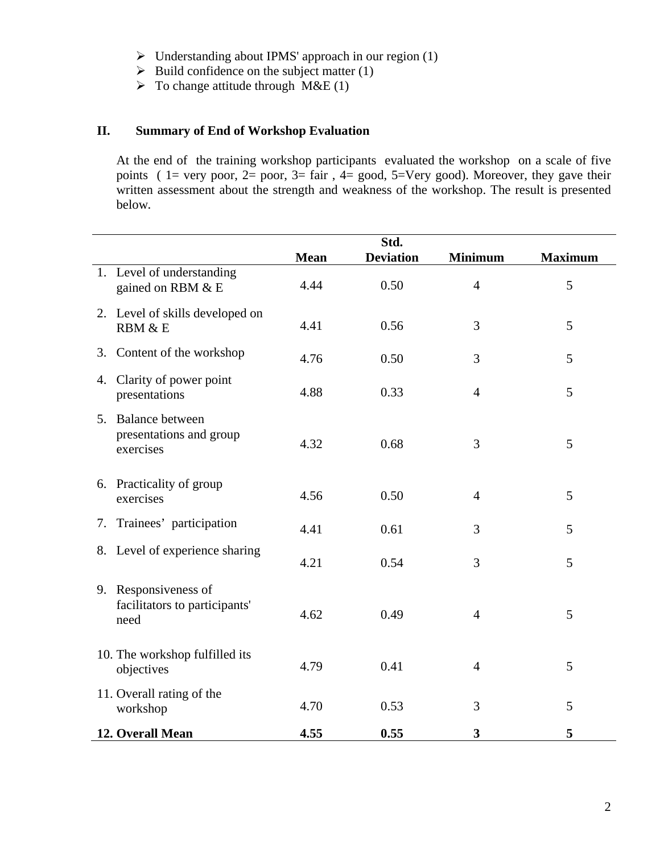- ¾ Understanding about IPMS' approach in our region (1)
- $\triangleright$  Build confidence on the subject matter (1)
- $\triangleright$  To change attitude through M&E (1)

# **II. Summary of End of Workshop Evaluation**

At the end of the training workshop participants evaluated the workshop on a scale of five points (  $1=$  very poor,  $2=$  poor,  $3=$  fair,  $4=$  good,  $5=$  Very good). Moreover, they gave their written assessment about the strength and weakness of the workshop. The result is presented below**.** 

|                                                               | Std.        |                  |                |                |  |  |
|---------------------------------------------------------------|-------------|------------------|----------------|----------------|--|--|
|                                                               | <b>Mean</b> | <b>Deviation</b> | <b>Minimum</b> | <b>Maximum</b> |  |  |
| 1. Level of understanding<br>gained on RBM & E                | 4.44        | 0.50             | $\overline{4}$ | 5              |  |  |
| 2. Level of skills developed on<br>RBM & E                    | 4.41        | 0.56             | 3              | 5              |  |  |
| Content of the workshop<br>3.                                 | 4.76        | 0.50             | 3              | 5              |  |  |
| Clarity of power point<br>4.<br>presentations                 | 4.88        | 0.33             | $\overline{4}$ | 5              |  |  |
| 5. Balance between<br>presentations and group<br>exercises    | 4.32        | 0.68             | 3              | 5              |  |  |
| 6. Practicality of group<br>exercises                         | 4.56        | 0.50             | $\overline{4}$ | 5              |  |  |
| Trainees' participation<br>7.                                 | 4.41        | 0.61             | 3              | 5              |  |  |
| 8. Level of experience sharing                                | 4.21        | 0.54             | 3              | 5              |  |  |
| 9. Responsiveness of<br>facilitators to participants'<br>need | 4.62        | 0.49             | $\overline{4}$ | 5              |  |  |
| 10. The workshop fulfilled its<br>objectives                  | 4.79        | 0.41             | $\overline{4}$ | 5              |  |  |
| 11. Overall rating of the<br>workshop                         | 4.70        | 0.53             | 3              | 5              |  |  |
| 12. Overall Mean                                              | 4.55        | 0.55             | 3              | 5              |  |  |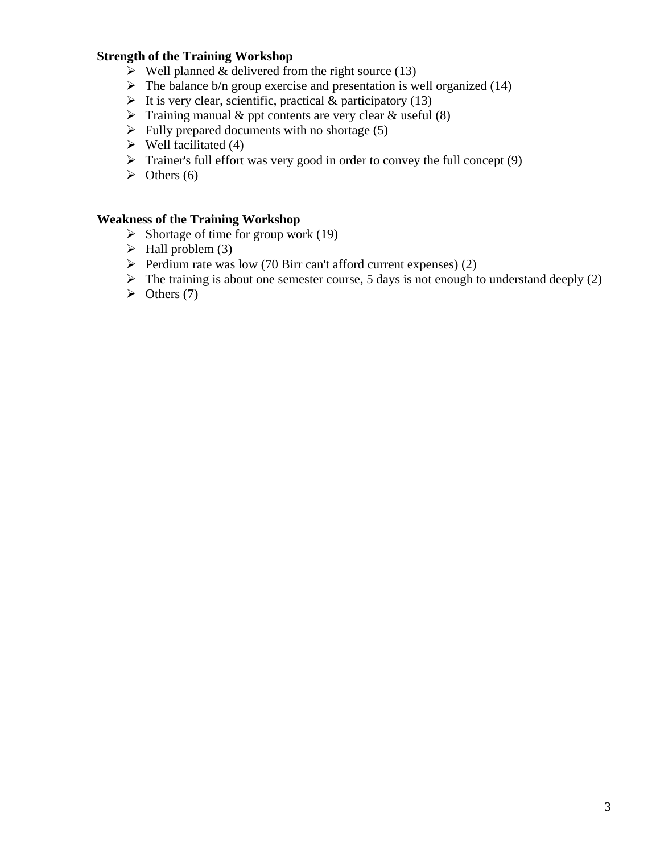# **Strength of the Training Workshop**

- $\triangleright$  Well planned & delivered from the right source (13)
- $\triangleright$  The balance b/n group exercise and presentation is well organized (14)
- $\triangleright$  It is very clear, scientific, practical & participatory (13)
- $\triangleright$  Training manual & ppt contents are very clear & useful (8)
- $\triangleright$  Fully prepared documents with no shortage (5)
- $\triangleright$  Well facilitated (4)
- $\triangleright$  Trainer's full effort was very good in order to convey the full concept (9)
- $\triangleright$  Others (6)

## **Weakness of the Training Workshop**

- $\triangleright$  Shortage of time for group work (19)
- $\blacktriangleright$  Hall problem (3)
- $\triangleright$  Perdium rate was low (70 Birr can't afford current expenses) (2)
- $\triangleright$  The training is about one semester course, 5 days is not enough to understand deeply (2)
- $\triangleright$  Others (7)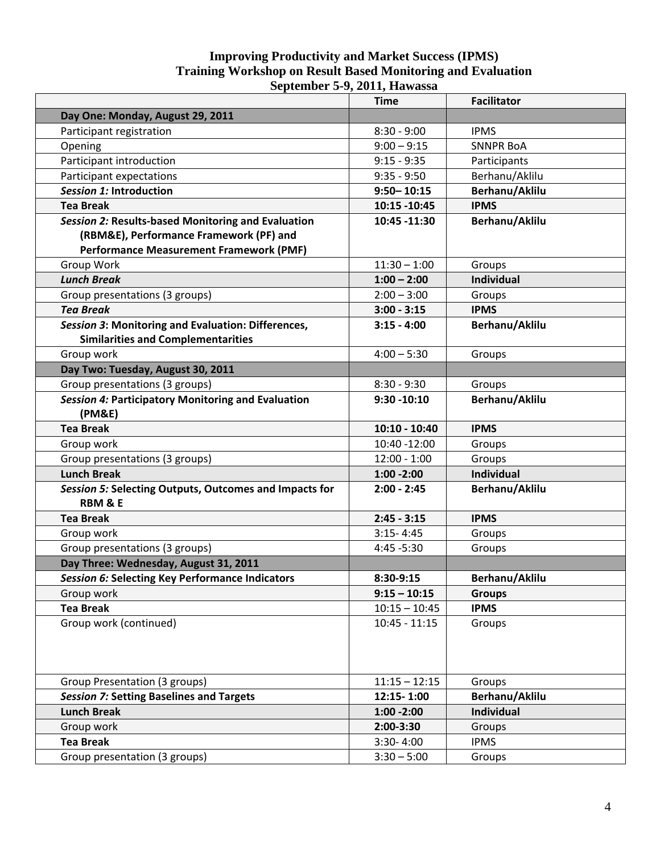#### **Improving Productivity and Market Success (IPMS) Training Workshop on Result Based Monitoring and Evaluation September 5-9, 2011, Hawassa**

|                                                                                                 | <b>Time</b>     | <b>Facilitator</b> |  |
|-------------------------------------------------------------------------------------------------|-----------------|--------------------|--|
| Day One: Monday, August 29, 2011                                                                |                 |                    |  |
| Participant registration                                                                        | $8:30 - 9:00$   | <b>IPMS</b>        |  |
| Opening                                                                                         | $9:00 - 9:15$   | <b>SNNPR BoA</b>   |  |
| Participant introduction                                                                        | $9:15 - 9:35$   | Participants       |  |
| Participant expectations                                                                        | $9:35 - 9:50$   | Berhanu/Aklilu     |  |
| Session 1: Introduction                                                                         | $9:50 - 10:15$  | Berhanu/Aklilu     |  |
| <b>Tea Break</b>                                                                                | 10:15 - 10:45   | <b>IPMS</b>        |  |
| Session 2: Results-based Monitoring and Evaluation                                              | 10:45 -11:30    | Berhanu/Aklilu     |  |
| (RBM&E), Performance Framework (PF) and                                                         |                 |                    |  |
| <b>Performance Measurement Framework (PMF)</b>                                                  |                 |                    |  |
| Group Work                                                                                      | $11:30 - 1:00$  | Groups             |  |
| <b>Lunch Break</b>                                                                              | $1:00 - 2:00$   | <b>Individual</b>  |  |
| Group presentations (3 groups)                                                                  | $2:00 - 3:00$   | Groups             |  |
| <b>Tea Break</b>                                                                                | $3:00 - 3:15$   | <b>IPMS</b>        |  |
| Session 3: Monitoring and Evaluation: Differences,<br><b>Similarities and Complementarities</b> | $3:15 - 4:00$   | Berhanu/Aklilu     |  |
| Group work                                                                                      | $4:00 - 5:30$   | Groups             |  |
| Day Two: Tuesday, August 30, 2011                                                               |                 |                    |  |
| Group presentations (3 groups)                                                                  | $8:30 - 9:30$   | Groups             |  |
| Session 4: Participatory Monitoring and Evaluation<br>(PM&E)                                    | $9:30 - 10:10$  | Berhanu/Aklilu     |  |
| <b>Tea Break</b>                                                                                | $10:10 - 10:40$ | <b>IPMS</b>        |  |
| Group work                                                                                      | 10:40 -12:00    | Groups             |  |
| Group presentations (3 groups)                                                                  | $12:00 - 1:00$  | Groups             |  |
| <b>Lunch Break</b>                                                                              | $1:00 - 2:00$   | <b>Individual</b>  |  |
| Session 5: Selecting Outputs, Outcomes and Impacts for<br><b>RBM &amp; E</b>                    | $2:00 - 2:45$   | Berhanu/Aklilu     |  |
| <b>Tea Break</b>                                                                                | $2:45 - 3:15$   | <b>IPMS</b>        |  |
| Group work                                                                                      | $3:15 - 4:45$   | Groups             |  |
| Group presentations (3 groups)                                                                  | 4:45 - 5:30     | Groups             |  |
| Day Three: Wednesday, August 31, 2011                                                           |                 |                    |  |
| Session 6: Selecting Key Performance Indicators                                                 | 8:30-9:15       | Berhanu/Aklilu     |  |
| Group work                                                                                      | $9:15 - 10:15$  | <b>Groups</b>      |  |
| <b>Tea Break</b>                                                                                | $10:15 - 10:45$ | <b>IPMS</b>        |  |
| Group work (continued)                                                                          | $10:45 - 11:15$ | Groups             |  |
|                                                                                                 |                 |                    |  |
| Group Presentation (3 groups)                                                                   | $11:15 - 12:15$ | Groups             |  |
| <b>Session 7: Setting Baselines and Targets</b>                                                 | 12:15-1:00      | Berhanu/Aklilu     |  |
| <b>Lunch Break</b>                                                                              | $1:00 - 2:00$   | Individual         |  |
| Group work                                                                                      | 2:00-3:30       | Groups             |  |
| <b>Tea Break</b>                                                                                | $3:30 - 4:00$   | <b>IPMS</b>        |  |
| Group presentation (3 groups)                                                                   | $3:30 - 5:00$   | Groups             |  |
|                                                                                                 |                 |                    |  |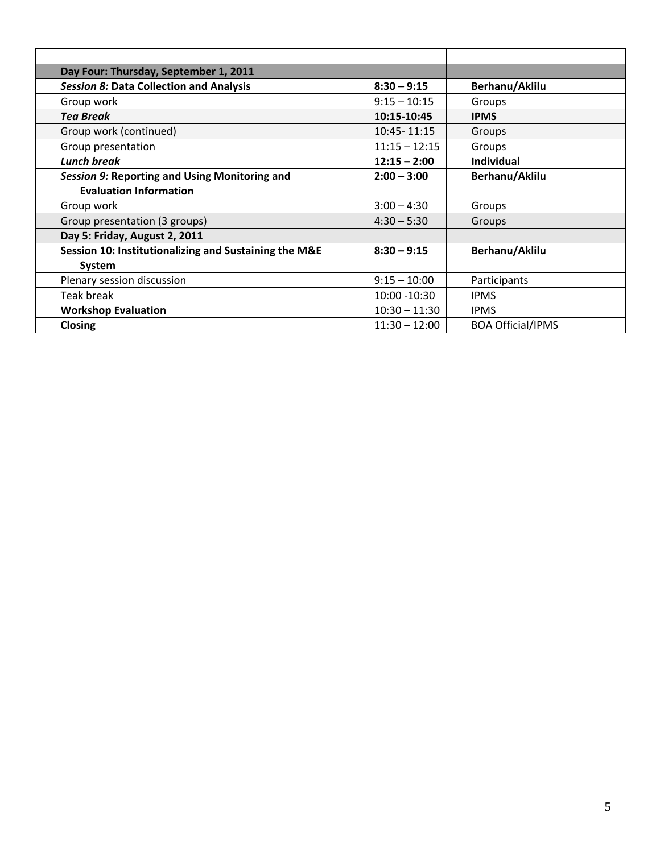| Day Four: Thursday, September 1, 2011                 |                 |                          |
|-------------------------------------------------------|-----------------|--------------------------|
| <b>Session 8: Data Collection and Analysis</b>        | $8:30 - 9:15$   | Berhanu/Aklilu           |
| Group work                                            | $9:15 - 10:15$  | Groups                   |
| <b>Tea Break</b>                                      | 10:15-10:45     | <b>IPMS</b>              |
| Group work (continued)                                | 10:45-11:15     | Groups                   |
| Group presentation                                    | $11:15 - 12:15$ | Groups                   |
| <b>Lunch break</b>                                    | $12:15 - 2:00$  | <b>Individual</b>        |
| Session 9: Reporting and Using Monitoring and         | $2:00 - 3:00$   | Berhanu/Aklilu           |
| <b>Evaluation Information</b>                         |                 |                          |
| Group work                                            | $3:00 - 4:30$   | Groups                   |
| Group presentation (3 groups)                         | $4:30 - 5:30$   | Groups                   |
| Day 5: Friday, August 2, 2011                         |                 |                          |
| Session 10: Institutionalizing and Sustaining the M&E | $8:30 - 9:15$   | Berhanu/Aklilu           |
| System                                                |                 |                          |
| Plenary session discussion                            | $9:15 - 10:00$  | Participants             |
| Teak break                                            | 10:00 -10:30    | <b>IPMS</b>              |
| <b>Workshop Evaluation</b>                            | $10:30 - 11:30$ | <b>IPMS</b>              |
| <b>Closing</b>                                        | $11:30 - 12:00$ | <b>BOA Official/IPMS</b> |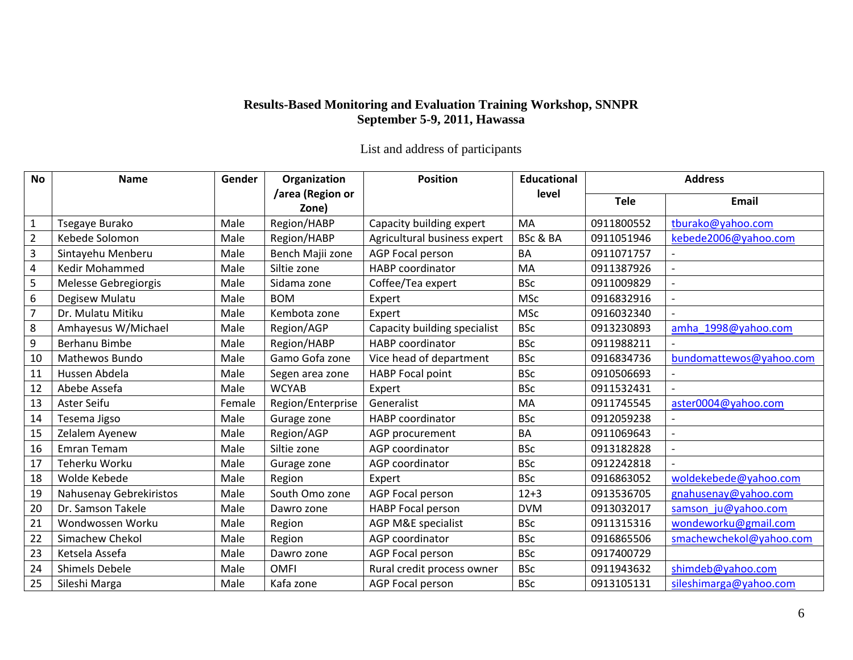## **Results-Based Monitoring and Evaluation Training Workshop, SNNPR September 5-9, 2011, Hawassa**

List and address of participants

| <b>No</b>      | <b>Name</b>             | Gender | Organization              | <b>Position</b>              | <b>Educational</b> | <b>Address</b> |                         |
|----------------|-------------------------|--------|---------------------------|------------------------------|--------------------|----------------|-------------------------|
|                |                         |        | /area (Region or<br>Zone) |                              | level              | <b>Tele</b>    | Email                   |
| $\mathbf{1}$   | Tsegaye Burako          | Male   | Region/HABP               | Capacity building expert     | MA                 | 0911800552     | tburako@yahoo.com       |
| $\overline{2}$ | Kebede Solomon          | Male   | Region/HABP               | Agricultural business expert | BSc & BA           | 0911051946     | kebede2006@yahoo.com    |
| 3              | Sintayehu Menberu       | Male   | Bench Majii zone          | <b>AGP Focal person</b>      | <b>BA</b>          | 0911071757     |                         |
| $\overline{4}$ | <b>Kedir Mohammed</b>   | Male   | Siltie zone               | <b>HABP</b> coordinator      | MA                 | 0911387926     |                         |
| 5              | Melesse Gebregiorgis    | Male   | Sidama zone               | Coffee/Tea expert            | <b>BSc</b>         | 0911009829     |                         |
| $6\,$          | Degisew Mulatu          | Male   | <b>BOM</b>                | Expert                       | <b>MSc</b>         | 0916832916     |                         |
| $\overline{7}$ | Dr. Mulatu Mitiku       | Male   | Kembota zone              | Expert                       | <b>MSc</b>         | 0916032340     |                         |
| 8              | Amhayesus W/Michael     | Male   | Region/AGP                | Capacity building specialist | <b>BSc</b>         | 0913230893     | amha 1998@yahoo.com     |
| 9              | Berhanu Bimbe           | Male   | Region/HABP               | HABP coordinator             | <b>BSc</b>         | 0911988211     |                         |
| 10             | Mathewos Bundo          | Male   | Gamo Gofa zone            | Vice head of department      | <b>BSc</b>         | 0916834736     | bundomattewos@yahoo.com |
| 11             | Hussen Abdela           | Male   | Segen area zone           | HABP Focal point             | <b>BSc</b>         | 0910506693     |                         |
| 12             | Abebe Assefa            | Male   | <b>WCYAB</b>              | Expert                       | <b>BSc</b>         | 0911532431     |                         |
| 13             | Aster Seifu             | Female | Region/Enterprise         | Generalist                   | MA                 | 0911745545     | aster0004@yahoo.com     |
| 14             | Tesema Jigso            | Male   | Gurage zone               | <b>HABP</b> coordinator      | <b>BSc</b>         | 0912059238     |                         |
| 15             | Zelalem Ayenew          | Male   | Region/AGP                | AGP procurement              | <b>BA</b>          | 0911069643     |                         |
| 16             | Emran Temam             | Male   | Siltie zone               | AGP coordinator              | <b>BSc</b>         | 0913182828     |                         |
| 17             | Teherku Worku           | Male   | Gurage zone               | AGP coordinator              | <b>BSc</b>         | 0912242818     |                         |
| 18             | Wolde Kebede            | Male   | Region                    | Expert                       | <b>BSc</b>         | 0916863052     | woldekebede@yahoo.com   |
| 19             | Nahusenay Gebrekiristos | Male   | South Omo zone            | <b>AGP Focal person</b>      | $12 + 3$           | 0913536705     | gnahusenay@yahoo.com    |
| 20             | Dr. Samson Takele       | Male   | Dawro zone                | HABP Focal person            | <b>DVM</b>         | 0913032017     | samson ju@yahoo.com     |
| 21             | Wondwossen Worku        | Male   | Region                    | AGP M&E specialist           | <b>BSc</b>         | 0911315316     | wondeworku@gmail.com    |
| 22             | Simachew Chekol         | Male   | Region                    | AGP coordinator              | <b>BSc</b>         | 0916865506     | smachewchekol@yahoo.com |
| 23             | Ketsela Assefa          | Male   | Dawro zone                | <b>AGP Focal person</b>      | <b>BSc</b>         | 0917400729     |                         |
| 24             | <b>Shimels Debele</b>   | Male   | <b>OMFI</b>               | Rural credit process owner   | <b>BSc</b>         | 0911943632     | shimdeb@yahoo.com       |
| 25             | Sileshi Marga           | Male   | Kafa zone                 | AGP Focal person             | <b>BSc</b>         | 0913105131     | sileshimarga@yahoo.com  |